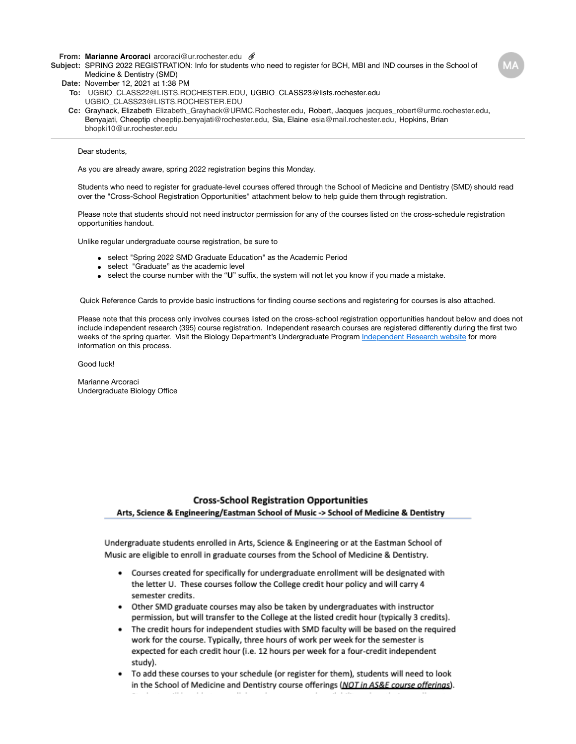**From: Marianne [Arcoraci](mailto:Arcoraciarcoraci@ur.rochester.edu)** [arcoraci@ur.rochester.edu](mailto:Arcoraciarcoraci@ur.rochester.edu)

**Subject:** SPRING 2022 REGISTRATION: Info for students who need to register for BCH, MBI and IND courses in the School of Medicine & Dentistry (SMD)

**Date:** November 12, 2021 at 1:38 PM

- **To:** [UGBIO\\_CLASS22@LISTS.ROCHESTER.EDU,](mailto:UGBIO_CLASS22@LISTS.ROCHESTER.EDU) UGBIO\_CLASS23@[lists.rochester.edu](mailto:lists.rochester.eduUGBIO_CLASS23@LISTS.ROCHESTER.EDU) [UGBIO\\_CLASS23@LISTS.ROCHESTER.EDU](mailto:lists.rochester.eduUGBIO_CLASS23@LISTS.ROCHESTER.EDU)
- **Cc:** Grayhack, [Elizabeth](mailto:ElizabethElizabeth_Grayhack@URMC.Rochester.edu) [Elizabeth\\_Grayhack@URMC.Rochester.edu,](mailto:ElizabethElizabeth_Grayhack@URMC.Rochester.edu) Robert, [Jacques](mailto:Jacquesjacques_robert@urmc.rochester.edu) [jacques\\_robert@urmc.rochester.edu](mailto:Jacquesjacques_robert@urmc.rochester.edu), Benyajati, [Cheeptip](mailto:Cheeptipcheeptip.benyajati@rochester.edu) [cheeptip.benyajati@rochester.edu](mailto:Cheeptipcheeptip.benyajati@rochester.edu), Sia, [Elaine](mailto:Elaineesia@mail.rochester.edu) [esia@mail.rochester.edu](mailto:Elaineesia@mail.rochester.edu), Hopkins, [Brian](mailto:Brianbhopki10@ur.rochester.edu) [bhopki10@ur.rochester.edu](mailto:Brianbhopki10@ur.rochester.edu)

## Dear students,

As you are already aware, spring 2022 registration begins this Monday.

Students who need to register for graduate-level courses offered through the School of Medicine and Dentistry (SMD) should read over the "Cross-School Registration Opportunities" attachment below to help guide them through registration.

Please note that students should not need instructor permission for any of the courses listed on the cross-schedule registration opportunities handout.

Unlike regular undergraduate course registration, be sure to

- select "Spring 2022 SMD Graduate Education" as the Academic Period
- select "Graduate" as the academic level
- select the course number with the "**U**" suffix, the system will not let you know if you made a mistake.

Quick Reference Cards to provide basic instructions for finding course sections and registering for courses is also attached.

Please note that this process only involves courses listed on the cross-school registration opportunities handout below and does not include independent research (395) course registration. Independent research courses are registered differently during the first two weeks of the spring quarter. Visit the Biology Department's Undergraduate Program [Independent Research website](https://www.sas.rochester.edu/bio/undergraduate/research/independent/index.html%23registration-requirements) for more information on this process.

Good luck!

Marianne Arcoraci Undergraduate Biology Office

## **Cross-School Registration Opportunities** Arts, Science & Engineering/Eastman School of Music -> School of Medicine & Dentistry

Undergraduate students enrolled in Arts, Science & Engineering or at the Eastman School of Music are eligible to enroll in graduate courses from the School of Medicine & Dentistry.

- Courses created for specifically for undergraduate enrollment will be designated with the letter U. These courses follow the College credit hour policy and will carry 4 semester credits.
- Other SMD graduate courses may also be taken by undergraduates with instructor permission, but will transfer to the College at the listed credit hour (typically 3 credits).
- . The credit hours for independent studies with SMD faculty will be based on the required work for the course. Typically, three hours of work per week for the semester is expected for each credit hour (i.e. 12 hours per week for a four-credit independent study).
- To add these courses to your schedule (or register for them), students will need to look in the School of Medicine and Dentistry course offerings (NOT in AS&E course offerings).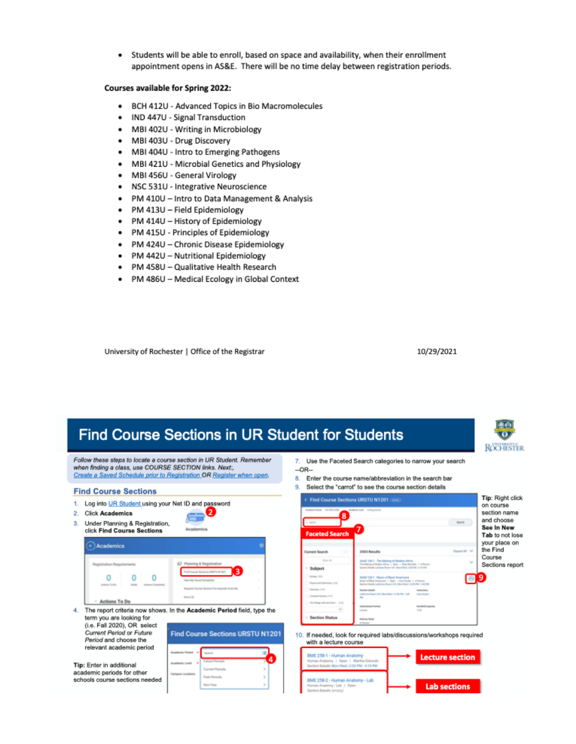Students will be able to enroll, based on space and availability, when their enrollment  $\bullet$ appointment opens in AS&E. There will be no time delay between registration periods.

## Courses available for Spring 2022:

- BCH 412U Advanced Topics in Bio Macromolecules ٠
- $\bullet$ IND 447U - Signal Transduction
- MBI 402U Writing in Microbiology ٠
- MBI 403U Drug Discovery ٠
- MBI 404U Intro to Emerging Pathogens ٠
- $\bullet$ MBI 421U - Microbial Genetics and Physiology
- ٠ MBI 456U - General Virology
- NSC 531U Integrative Neuroscience  $\bullet$
- PM 410U Intro to Data Management & Analysis
- PM 413U Field Epidemiology ٠
- $\bullet$ PM 414U - History of Epidemiology
- PM 415U Principles of Epidemiology  $\bullet$
- PM 424U Chronic Disease Epidemiology ٠
- PM 442U Nutritional Epidemiology
- $\bullet$ PM 458U - Qualitative Health Research
- PM 486U Medical Ecology in Global Context ٠

University of Rochester | Office of the Registrar

10/29/2021

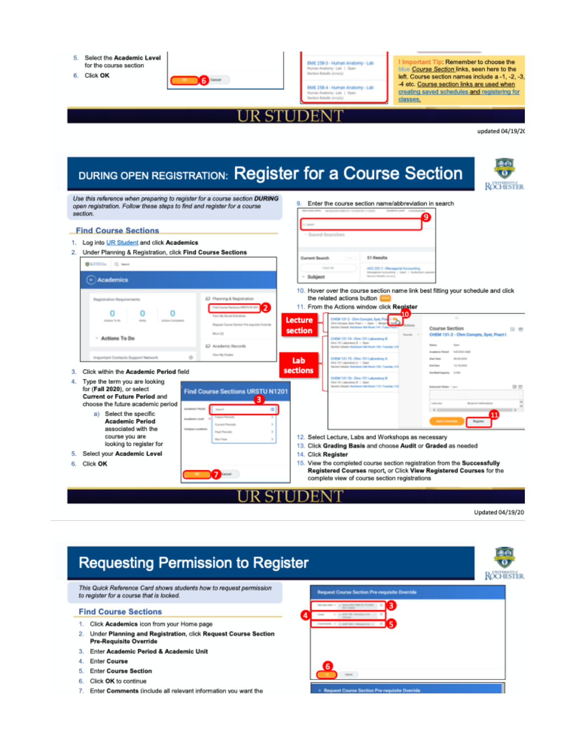

6. Click OK



BME 258-3 - Human Anatomy - Lab y-Lab | Open on Betalls (e)

BME 258-4 - Human Anatomy - Lab Lab 1 Oper

I Important Tip: Remember to choose the blue Course Section links, seen here to the left. Course section names include a -1, -2, -3, -4 etc. Course section links are used when creating saved schedules and registering for classes.



updated 04/19/20

| DURING OPEN REGISTRATION: Register for a Course Section                                                                                                                                                                                                                                                                                                                                                                                                                                                    | ROCHESTER                                                                                                                                                                                                                                                                                        |
|------------------------------------------------------------------------------------------------------------------------------------------------------------------------------------------------------------------------------------------------------------------------------------------------------------------------------------------------------------------------------------------------------------------------------------------------------------------------------------------------------------|--------------------------------------------------------------------------------------------------------------------------------------------------------------------------------------------------------------------------------------------------------------------------------------------------|
| Use this reference when preparing to register for a course section DURING<br>open registration. Follow these steps to find and register for a course<br>section.                                                                                                                                                                                                                                                                                                                                           | Enter the course section name/abbreviation in search<br>9.<br>Mart Subcarrille - Spring of the model of a find them in a count<br>Accelerate Lands<br>9                                                                                                                                          |
| <b>Find Course Sections</b>                                                                                                                                                                                                                                                                                                                                                                                                                                                                                | Sayed Searches                                                                                                                                                                                                                                                                                   |
| 1. Log into UR Student and click Academics<br>Under Planning & Registration, click Find Course Sections<br>2.                                                                                                                                                                                                                                                                                                                                                                                              | 51 Results                                                                                                                                                                                                                                                                                       |
| <b>BAUTON</b> Q mem                                                                                                                                                                                                                                                                                                                                                                                                                                                                                        | Current Search<br>Clear Ad<br>ACC 221-1 - Managerial Accounting                                                                                                                                                                                                                                  |
| (+) Academics                                                                                                                                                                                                                                                                                                                                                                                                                                                                                              | Managerial Associations 1, Steel, 1, Sudaninan Jacon<br>Sacriore Sanah, Ismania<br>- Subject                                                                                                                                                                                                     |
| C Planning & Registration<br>Registration Requirements<br>2<br>Find Course Sections URISTU N1201<br>Ω<br>Ω<br>View My Sevent Schedules<br>Actionary The Rig<br>Automa Formates<br>Request Course Section Preverprishe Override                                                                                                                                                                                                                                                                             | 10. Hover over the course section name link best fitting your schedule and click<br>the related actions button<br>11. From the Actions window click Register<br>10<br>CHEM 131-2 - Chris Concorta, Synt, Pr<br>Lecture<br>Dom Concepts, Spat, Pract 1 1 Class 1 Benjam                           |
| More (T)<br>- Actions To Do<br>C Academic Records                                                                                                                                                                                                                                                                                                                                                                                                                                                          | Course Section<br>日参<br>section<br>CHEM 131-2 - Chm Concets, Syst, Pract<br><b>Fascing</b><br>CHEM 131-74 - Chen 131 Laboratory B<br>Dom 1011 Ladonahory B   Open<br><b>Gond</b><br>Senior Datais Wandscor Hal Boam 106/ Tuesday (1)                                                             |
| View My Drades<br>ö<br>Important Contacts Support Network<br>Click within the Academic Period field                                                                                                                                                                                                                                                                                                                                                                                                        | Augustavia Practack Aud 2020 military<br>CHEM 131-75 - Chen 131 Laboratory A<br><b>Branchises</b><br><b>GRASS CARDS</b><br>Lab<br>Chin 1011 Laboratory A. 1 Cloen<br><b>Book House</b><br><b>KILLING CARDS</b><br>Section Details Hutchison Hall Roam 106 / Tuesday (3)<br>sections              |
| Type the term you are looking<br>4.<br>for (Fall 2020), or select<br><b>Find Course Sections URSTU N1201</b><br><b>Current or Future Period and</b><br>3<br>choose the future academic period<br><b>Academy Partial</b><br><b>Search</b><br>m<br>a) Select the specific<br><b>Ulura Perioda</b><br>Anadomic Laned<br><b>Academic Period</b><br>Current Partnels<br>associated with the<br><b>Campus Localism</b><br><b>Frest Particula</b><br>course you are<br><b>Now York</b><br>looking to register for | Enrolled Capacity 1779<br>CHEM 131-76 - Chev 131 Laboratory B<br>Chim 1371 Laboratory B   Close<br>Section Datable Hutchbook Had Room 115: Tuesday (21)<br>指置<br><b>Instructor Roles 1 nur</b><br><b>CARLING</b><br>$\blacksquare$<br>石 三<br>12. Select Lecture, Labs and Workshops as necessary |
| Select your Academic Level                                                                                                                                                                                                                                                                                                                                                                                                                                                                                 | 13. Click Grading Basis and choose Audit or Graded as needed<br>14. Click Register                                                                                                                                                                                                               |
| Click OK<br>7                                                                                                                                                                                                                                                                                                                                                                                                                                                                                              | 15. View the completed course section registration from the Successfully<br>Registered Courses report, or Click View Registered Courses for the<br>complete view of course section registrations                                                                                                 |
|                                                                                                                                                                                                                                                                                                                                                                                                                                                                                                            | STUDEI                                                                                                                                                                                                                                                                                           |

Updated 04/19/20